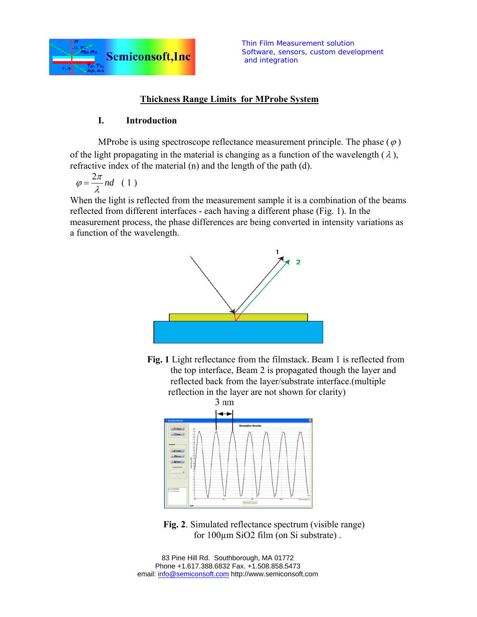

# **Thickness Range Limits for MProbe System**

## **I. Introduction**

MProbe is using spectroscope reflectance measurement principle. The phase  $(\varphi)$ of the light propagating in the material is changing as a function of the wavelength  $(\lambda)$ , refractive index of the material (n) and the length of the path (d).

$$
\varphi = \frac{2\pi}{\lambda} nd \quad (1)
$$

When the light is reflected from the measurement sample it is a combination of the beams reflected from different interfaces - each having a different phase (Fig. 1). In the measurement process, the phase differences are being converted in intensity variations as a function of the wavelength.



 **Fig. 1** Light reflectance from the filmstack. Beam 1 is reflected from the top interface, Beam 2 is propagated though the layer and reflected back from the layer/substrate interface.(multiple reflection in the layer are not shown for clarity)



 **Fig. 2**. Simulated reflectance spectrum (visible range) for 100µm SiO2 film (on Si substrate) .

83 Pine Hill Rd. Southborough, MA 01772 Phone +1.617.388.6832 Fax. +1.508.858.5473 email: info@semiconsoft.com http://www.semiconsoft.com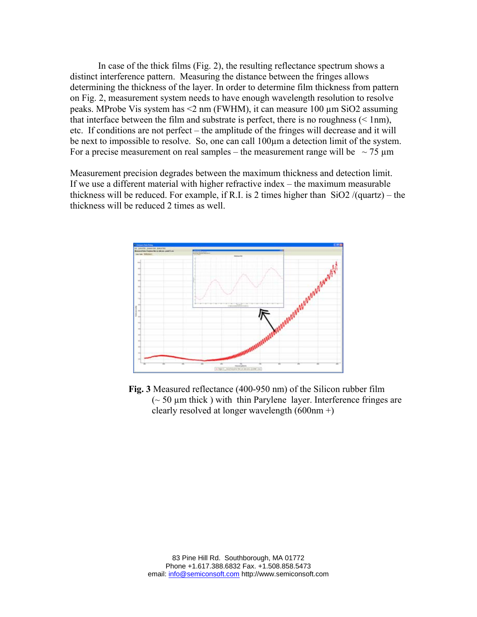In case of the thick films (Fig. 2), the resulting reflectance spectrum shows a distinct interference pattern. Measuring the distance between the fringes allows determining the thickness of the layer. In order to determine film thickness from pattern on Fig. 2, measurement system needs to have enough wavelength resolution to resolve peaks. MProbe Vis system has <2 nm (FWHM), it can measure 100 µm SiO2 assuming that interface between the film and substrate is perfect, there is no roughness  $(< 1 \text{nm})$ , etc. If conditions are not perfect – the amplitude of the fringes will decrease and it will be next to impossible to resolve. So, one can call 100µm a detection limit of the system. For a precise measurement on real samples – the measurement range will be  $\sim$  75  $\mu$ m

Measurement precision degrades between the maximum thickness and detection limit. If we use a different material with higher refractive index – the maximum measurable thickness will be reduced. For example, if R.I. is 2 times higher than  $SiO2/(quartz) - the$ thickness will be reduced 2 times as well.



 **Fig. 3** Measured reflectance (400-950 nm) of the Silicon rubber film  $\sim$  50  $\mu$ m thick) with thin Parylene layer. Interference fringes are clearly resolved at longer wavelength (600nm +)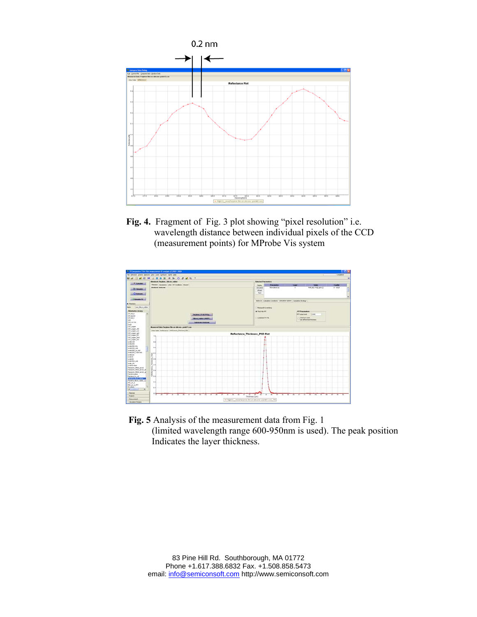

 **Fig. 4.** Fragment of Fig. 3 plot showing "pixel resolution" i.e. wavelength distance between individual pixels of the CCD (measurement points) for MProbe Vis system



 **Fig. 5** Analysis of the measurement data from Fig. 1 (limited wavelength range 600-950nm is used). The peak position Indicates the layer thickness.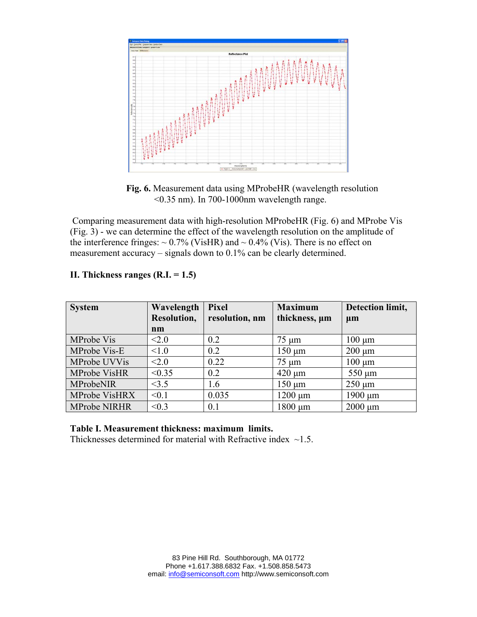

 **Fig. 6.** Measurement data using MProbeHR (wavelength resolution  $\leq$ 0.35 nm). In 700-1000nm wavelength range.

 Comparing measurement data with high-resolution MProbeHR (Fig. 6) and MProbe Vis (Fig. 3) - we can determine the effect of the wavelength resolution on the amplitude of the interference fringes:  $\sim 0.7\%$  (VisHR) and  $\sim 0.4\%$  (Vis). There is no effect on measurement accuracy – signals down to 0.1% can be clearly determined.

| <b>System</b>       | Wavelength<br>Resolution,<br>nm | <b>Pixel</b><br>resolution, nm | <b>Maximum</b><br>thickness, um | Detection limit,<br>$\mu$ m |
|---------------------|---------------------------------|--------------------------------|---------------------------------|-----------------------------|
| MProbe Vis          | < 2.0                           | 0.2                            | $75 \mu m$                      | $100 \mu m$                 |
| MProbe Vis-E        | < 1.0                           | 0.2                            | $150 \mu m$                     | $200 \mu m$                 |
| MProbe UVVis        | < 2.0                           | 0.22                           | $75 \mu m$                      | $100 \mu m$                 |
| MProbe VisHR        | < 0.35                          | 0.2                            | $420 \mu m$                     | $550 \mu m$                 |
| MProbeNIR           | <3.5                            | 1.6                            | $150 \mu m$                     | $250 \mu m$                 |
| MProbe VisHRX       | < 0.1                           | 0.035                          | $1200 \mu m$                    | $1900 \mu m$                |
| <b>MProbe NIRHR</b> | < 0.3                           | 0.1                            | 1800 µm                         | $2000 \mu m$                |

### **II. Thickness ranges (R.I. = 1.5)**

### **Table I. Measurement thickness: maximum limits.**

Thicknesses determined for material with Refractive index  $\sim$ 1.5.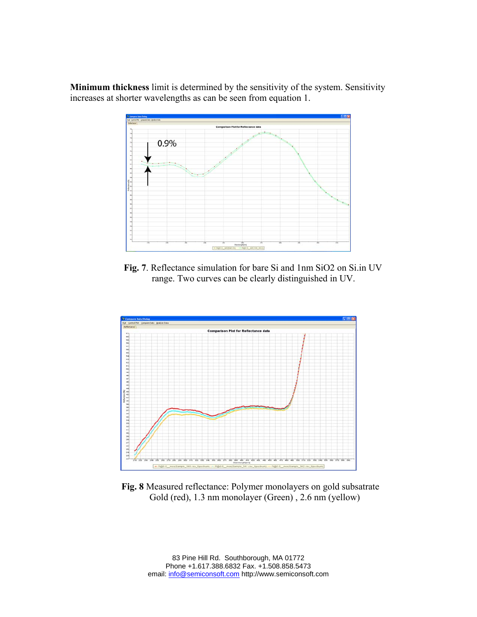**Minimum thickness** limit is determined by the sensitivity of the system. Sensitivity increases at shorter wavelengths as can be seen from equation 1.



 **Fig. 7**. Reflectance simulation for bare Si and 1nm SiO2 on Si.in UV range. Two curves can be clearly distinguished in UV.



 **Fig. 8** Measured reflectance: Polymer monolayers on gold subsatrate Gold (red), 1.3 nm monolayer (Green) , 2.6 nm (yellow)

83 Pine Hill Rd. Southborough, MA 01772 Phone +1.617.388.6832 Fax. +1.508.858.5473 email: info@semiconsoft.com http://www.semiconsoft.com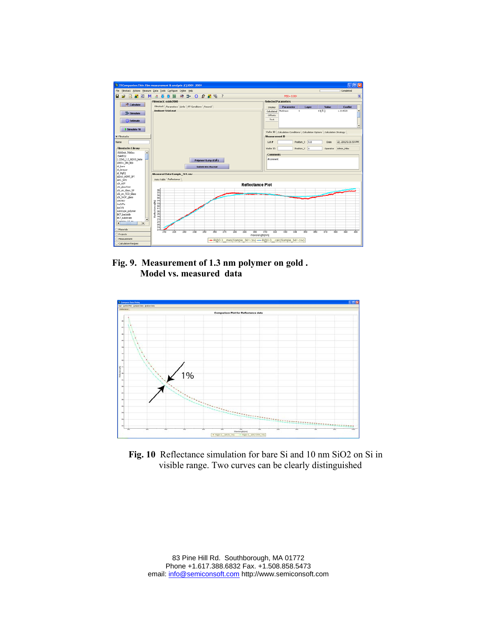

 **Fig. 9. Measurement of 1.3 nm polymer on gold . Model vs. measured data** 



 **Fig. 10** Reflectance simulation for bare Si and 10 nm SiO2 on Si in visible range. Two curves can be clearly distinguished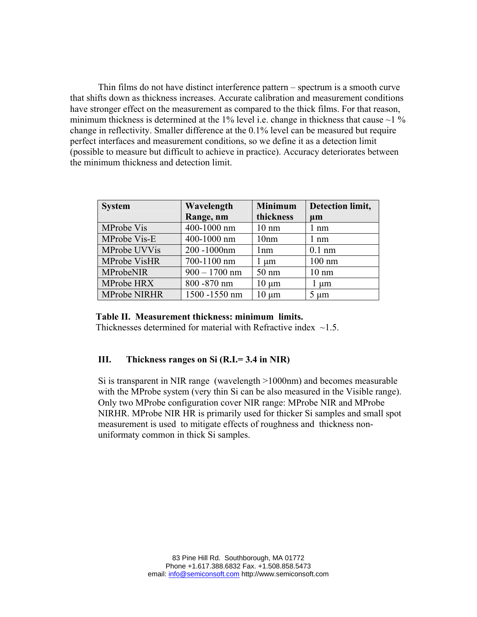Thin films do not have distinct interference pattern – spectrum is a smooth curve that shifts down as thickness increases. Accurate calibration and measurement conditions have stronger effect on the measurement as compared to the thick films. For that reason, minimum thickness is determined at the 1% level i.e. change in thickness that cause  $\sim$ 1 % change in reflectivity. Smaller difference at the 0.1% level can be measured but require perfect interfaces and measurement conditions, so we define it as a detection limit (possible to measure but difficult to achieve in practice). Accuracy deteriorates between the minimum thickness and detection limit.

| <b>System</b>       | Wavelength      | <b>Minimum</b>  | Detection limit, |
|---------------------|-----------------|-----------------|------------------|
|                     | Range, nm       | thickness       | $\mu$ m          |
| <b>MProbe Vis</b>   | 400-1000 nm     | $10 \text{ nm}$ | $1 \text{ nm}$   |
| MProbe Vis-E        | 400-1000 nm     | 10nm            | $1 \text{ nm}$   |
| MProbe UVVis        | 200-1000nm      | 1nm             | $0.1$ nm         |
| <b>MProbe VisHR</b> | 700-1100 nm     | $1 \mu m$       | $100 \text{ nm}$ |
| MProbeNIR           | $900 - 1700$ nm | $50 \text{ nm}$ | $10 \text{ nm}$  |
| MProbe HRX          | 800 - 870 nm    | $10 \mu m$      | $1 \mu m$        |
| <b>MProbe NIRHR</b> | 1500 -1550 nm   | $10 \mu m$      | $5 \mu m$        |

#### **Table II. Measurement thickness: minimum limits.**

Thicknesses determined for material with Refractive index  $\sim$ 1.5

### **III. Thickness ranges on Si (R.I.= 3.4 in NIR)**

Si is transparent in NIR range (wavelength >1000nm) and becomes measurable with the MProbe system (very thin Si can be also measured in the Visible range). Only two MProbe configuration cover NIR range: MProbe NIR and MProbe NIRHR. MProbe NIR HR is primarily used for thicker Si samples and small spot measurement is used to mitigate effects of roughness and thickness nonuniformaty common in thick Si samples.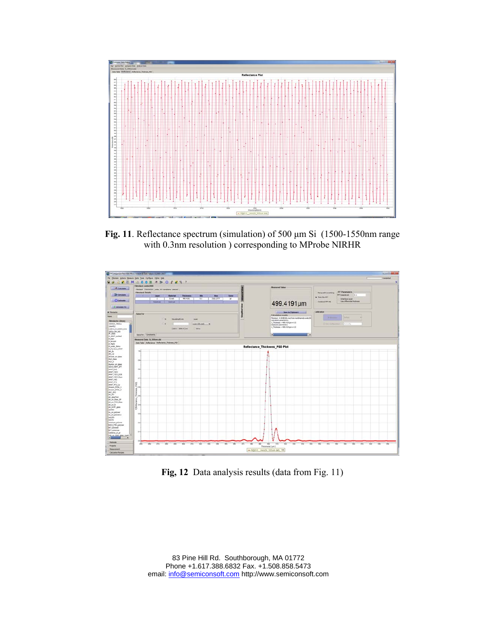

**Fig. 11**. Reflectance spectrum (simulation) of 500 μm Si (1500-1550nm range with 0.3nm resolution ) corresponding to MProbe NIRHR



**Fig, 12** Data analysis results (data from Fig. 11)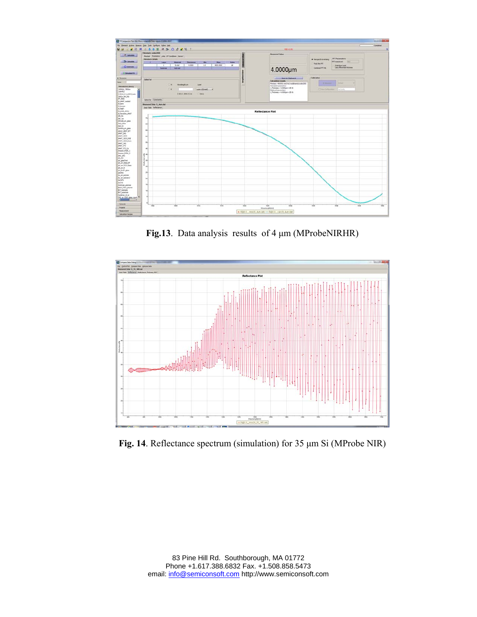

**Fig.13**. Data analysis results of 4 μm (MProbeNIRHR)



**Fig. 14**. Reflectance spectrum (simulation) for 35 μm Si (MProbe NIR)